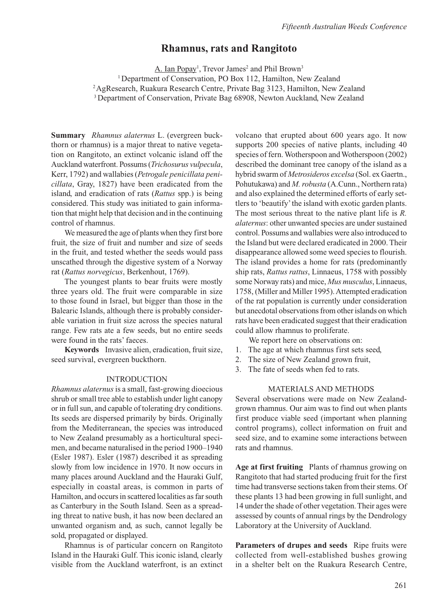# **Rhamnus, rats and Rangitoto**

<u>A. Ian Popay</u><sup>1</sup>, Trevor James<sup>2</sup> and Phil Brown<sup>3</sup>

<sup>1</sup> Department of Conservation, PO Box 112, Hamilton, New Zealand

2 AgResearch, Ruakura Research Centre, Private Bag 3123, Hamilton, New Zealand

<sup>3</sup> Department of Conservation, Private Bag 68908, Newton Auckland, New Zealand

**Summary** *Rhamnus alaternus* L. (evergreen buckthorn or rhamnus) is a major threat to native vegetation on Rangitoto, an extinct volcanic island off the Auckland waterfront. Possums (*Trichosurus vulpecula*, Kerr, 1792) and wallabies (*Petrogale penicillata penicillata*, Gray, 1827) have been eradicated from the island, and eradication of rats (*Rattus* spp.) is being considered. This study was initiated to gain information that might help that decision and in the continuing control of rhamnus.

We measured the age of plants when they first bore fruit, the size of fruit and number and size of seeds in the fruit, and tested whether the seeds would pass unscathed through the digestive system of a Norway rat (*Rattus norvegicus*, Berkenhout, 1769).

The youngest plants to bear fruits were mostly three years old. The fruit were comparable in size to those found in Israel, but bigger than those in the Balearic Islands, although there is probably considerable variation in fruit size across the species natural range. Few rats ate a few seeds, but no entire seeds were found in the rats' faeces.

**Keywords** Invasive alien, eradication, fruit size, seed survival, evergreen buckthorn.

#### INTRODUCTION

*Rhamnus alaternus* is a small, fast-growing dioecious shrub or small tree able to establish under light canopy or in full sun, and capable of tolerating dry conditions. Its seeds are dispersed primarily by birds. Originally from the Mediterranean, the species was introduced to New Zealand presumably as a horticultural specimen, and became naturalised in the period 1900–1940 (Esler 1987). Esler (1987) described it as spreading slowly from low incidence in 1970. It now occurs in many places around Auckland and the Hauraki Gulf, especially in coastal areas, is common in parts of Hamilton, and occurs in scattered localities as far south as Canterbury in the South Island. Seen as a spreading threat to native bush, it has now been declared an unwanted organism and, as such, cannot legally be sold, propagated or displayed.

Rhamnus is of particular concern on Rangitoto Island in the Hauraki Gulf. This iconic island, clearly visible from the Auckland waterfront, is an extinct

volcano that erupted about 600 years ago. It now supports 200 species of native plants, including 40 species of fern. Wotherspoon and Wotherspoon (2002) described the dominant tree canopy of the island as a hybrid swarm of *Metrosideros excelsa* (Sol. ex Gaertn., Pohutukawa) and *M. robusta* (A.Cunn., Northern rata) and also explained the determined efforts of early settlers to 'beautify' the island with exotic garden plants. The most serious threat to the native plant life is *R. alaternus*: other unwanted species are under sustained control. Possums and wallabies were also introduced to the Island but were declared eradicated in 2000. Their disappearance allowed some weed species to flourish. The island provides a home for rats (predominantly ship rats, *Rattus rattus*, Linnaeus, 1758 with possibly some Norway rats) and mice, *Mus musculus*, Linnaeus, 1758, (Miller and Miller 1995). Attempted eradication of the rat population is currently under consideration but anecdotal observations from other islands on which rats have been eradicated suggest that their eradication could allow rhamnus to proliferate.

We report here on observations on:

- 1. The age at which rhamnus first sets seed,
- 2. The size of New Zealand grown fruit,
- 3. The fate of seeds when fed to rats.

## MATERIALS AND METHODS

Several observations were made on New Zealandgrown rhamnus. Our aim was to find out when plants first produce viable seed (important when planning control programs), collect information on fruit and seed size, and to examine some interactions between rats and rhamnus.

**Age at first fruiting** Plants of rhamnus growing on Rangitoto that had started producing fruit for the first time had transverse sections taken from their stems. Of these plants 13 had been growing in full sunlight, and 14 under the shade of other vegetation. Their ages were assessed by counts of annual rings by the Dendrology Laboratory at the University of Auckland.

**Parameters of drupes and seeds** Ripe fruits were collected from well-established bushes growing in a shelter belt on the Ruakura Research Centre,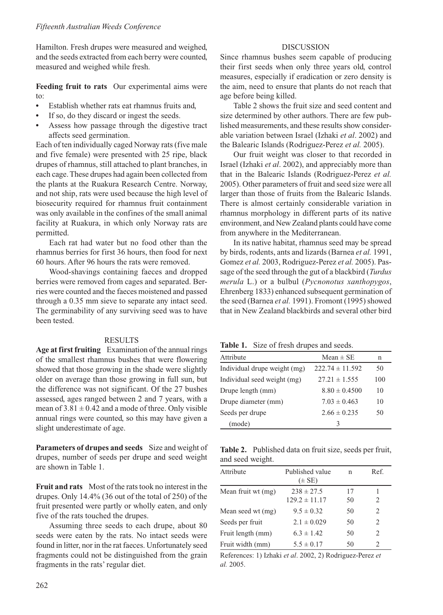Hamilton. Fresh drupes were measured and weighed, and the seeds extracted from each berry were counted, measured and weighed while fresh.

**Feeding fruit to rats** Our experimental aims were to:

- Establish whether rats eat rhamnus fruits and,
- If so, do they discard or ingest the seeds.
- Assess how passage through the digestive tract affects seed germination.

Each of ten individually caged Norway rats (five male and five female) were presented with 25 ripe, black drupes of rhamnus, still attached to plant branches, in each cage. These drupes had again been collected from the plants at the Ruakura Research Centre. Norway, and not ship, rats were used because the high level of biosecurity required for rhamnus fruit containment was only available in the confines of the small animal facility at Ruakura, in which only Norway rats are permitted.

Each rat had water but no food other than the rhamnus berries for first 36 hours, then food for next 60 hours. After 96 hours the rats were removed.

Wood-shavings containing faeces and dropped berries were removed from cages and separated. Berries were counted and the faeces moistened and passed through a 0.35 mm sieve to separate any intact seed. The germinability of any surviving seed was to have been tested.

#### RESULTS

**Age at first fruiting** Examination of the annual rings of the smallest rhamnus bushes that were flowering showed that those growing in the shade were slightly older on average than those growing in full sun, but the difference was not significant. Of the 27 bushes assessed, ages ranged between 2 and 7 years, with a mean of  $3.81 \pm 0.42$  and a mode of three. Only visible annual rings were counted, so this may have given a slight underestimate of age.

**Parameters of drupes and seeds** Size and weight of drupes, number of seeds per drupe and seed weight are shown in Table 1.

**Fruit and rats** Most of the rats took no interest in the drupes. Only 14.4% (36 out of the total of 250) of the fruit presented were partly or wholly eaten, and only five of the rats touched the drupes.

Assuming three seeds to each drupe, about 80 seeds were eaten by the rats. No intact seeds were found in litter, nor in the rat faeces. Unfortunately seed fragments could not be distinguished from the grain fragments in the rats' regular diet.

## DISCUSSION

Since rhamnus bushes seem capable of producing their first seeds when only three years old, control measures, especially if eradication or zero density is the aim, need to ensure that plants do not reach that age before being killed.

Table 2 shows the fruit size and seed content and size determined by other authors. There are few published measurements, and these results show considerable variation between Israel (Izhaki *et al*. 2002) and the Balearic Islands (Rodriguez-Perez *et al.* 2005).

Our fruit weight was closer to that recorded in Israel (Izhaki *et al*. 2002), and appreciably more than that in the Balearic Islands (Rodriguez-Perez *et al.* 2005). Other parameters of fruit and seed size were all larger than those of fruits from the Balearic Islands. There is almost certainly considerable variation in rhamnus morphology in different parts of its native environment, and New Zealand plants could have come from anywhere in the Mediterranean.

In its native habitat, rhamnus seed may be spread by birds, rodents, ants and lizards (Barnea *et al.* 1991, Gomez *et al.* 2003, Rodriguez-Perez *et al.* 2005). Passage of the seed through the gut of a blackbird (*Turdus merula* L.) or a bulbul (*Pycnonotus xanthopygos*, Ehrenberg 1833) enhanced subsequent germination of the seed (Barnea *et al.* 1991). Fromont (1995) showed that in New Zealand blackbirds and several other bird

| Table 1. Size of fresh drupes and seeds. |  |  |  |  |  |
|------------------------------------------|--|--|--|--|--|
|------------------------------------------|--|--|--|--|--|

| TWORE IT OILS OF HEADY GEOPED WHO DECIDE |                     |     |  |  |
|------------------------------------------|---------------------|-----|--|--|
| Attribute                                | $Mean \pm SE$       | n   |  |  |
| Individual drupe weight (mg)             | $222.74 \pm 11.592$ | 50  |  |  |
| Individual seed weight (mg)              | $27.21 \pm 1.555$   | 100 |  |  |
| Drupe length (mm)                        | $8.80 \pm 0.4500$   | 10  |  |  |
| Drupe diameter (mm)                      | $7.03 \pm 0.463$    | 10  |  |  |
| Seeds per drupe                          | $2.66 \pm 0.235$    | 50  |  |  |
| (mode)                                   | 3                   |     |  |  |

**Table 2.** Published data on fruit size, seeds per fruit, and seed weight.

| Attribute          | Published value   | n  | Ref. |
|--------------------|-------------------|----|------|
|                    | $(\pm SE)$        |    |      |
| Mean fruit wt (mg) | $238 \pm 27.5$    | 17 |      |
|                    | $129.2 \pm 11.17$ | 50 | 2    |
| Mean seed wt (mg)  | $9.5 \pm 0.32$    | 50 | 2    |
| Seeds per fruit    | $2.1 \pm 0.029$   | 50 | 2    |
| Fruit length (mm)  | $6.3 \pm 1.42$    | 50 | 2    |
| Fruit width (mm)   | $5.5 \pm 0.17$    | 50 | 2    |

References: 1) Izhaki *et al*. 2002, 2) Rodriguez-Perez *et al.* 2005.